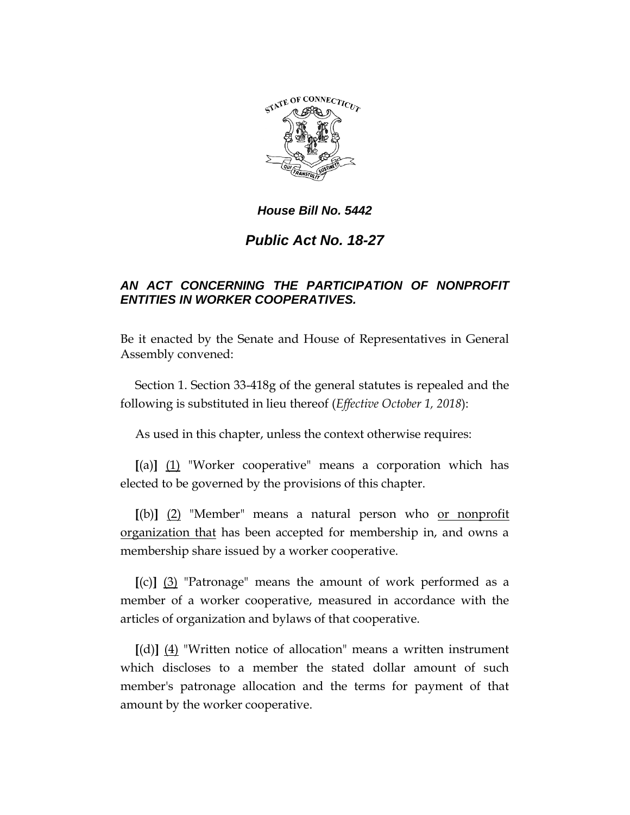

## *House Bill No. 5442*

## *Public Act No. 18-27*

## *AN ACT CONCERNING THE PARTICIPATION OF NONPROFIT ENTITIES IN WORKER COOPERATIVES.*

Be it enacted by the Senate and House of Representatives in General Assembly convened:

Section 1. Section 33-418g of the general statutes is repealed and the following is substituted in lieu thereof (*Effective October 1, 2018*):

As used in this chapter, unless the context otherwise requires:

**[**(a)**]** (1) "Worker cooperative" means a corporation which has elected to be governed by the provisions of this chapter.

**[**(b)**]** (2) "Member" means a natural person who or nonprofit organization that has been accepted for membership in, and owns a membership share issued by a worker cooperative.

**[**(c)**]** (3) "Patronage" means the amount of work performed as a member of a worker cooperative, measured in accordance with the articles of organization and bylaws of that cooperative.

**[**(d)**]** (4) "Written notice of allocation" means a written instrument which discloses to a member the stated dollar amount of such member's patronage allocation and the terms for payment of that amount by the worker cooperative.